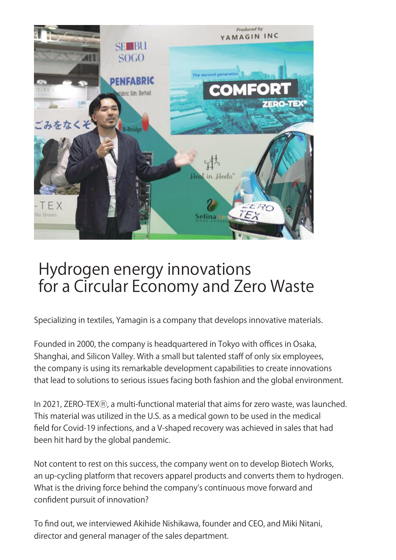

## Hydrogen energy innovations for a Circular Economy and Zero Waste

Specializing in textiles, Yamagin is a company that develops innovative materials.

Founded in 2000, the company is headquartered in Tokyo with offices in Osaka, Shanghai, and Silicon Valley. With a small but talented staff of only six employees, the company is using its remarkable development capabilities to create innovations that lead to solutions to serious issues facing both fashion and the global environment.

In 2021, ZERO-TEX®, a multi-functional material that aims for zero waste, was launched. This material was utilized in the U.S. as a medical gown to be used in the medical field for Covid-19 infections, and a V-shaped recovery was achieved in sales that had been hit hard by the global pandemic.

Not content to rest on this success, the company went on to develop Biotech Works, an up-cycling platform that recovers apparel products and converts them to hydrogen. What is the driving force behind the company's continuous move forward and confident pursuit of innovation?

To find out, we interviewed Akihide Nishikawa, founder and CEO, and Miki Nitani, director and general manager of the sales department.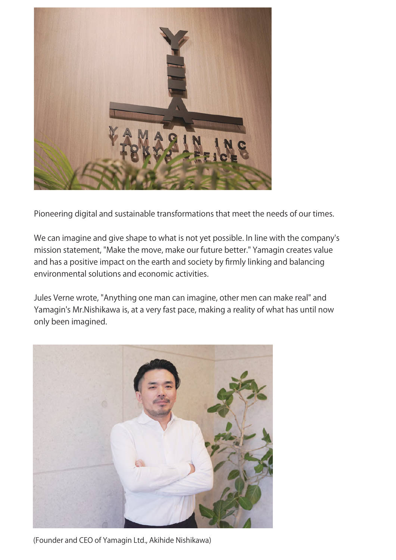

Pioneering digital and sustainable transformations that meet the needs of our times.

We can imagine and give shape to what is not yet possible. In line with the company's mission statement, "Make the move, make our future better." Yamagin creates value and has a positive impact on the earth and society by firmly linking and balancing environmental solutions and economic activities.

Jules Verne wrote, "Anything one man can imagine, other men can make real" and Yamagin's Mr.Nishikawa is, at a very fast pace, making a reality of what has until now only been imagined.



(Founder and CEO of Yamagin Ltd., Akihide Nishikawa)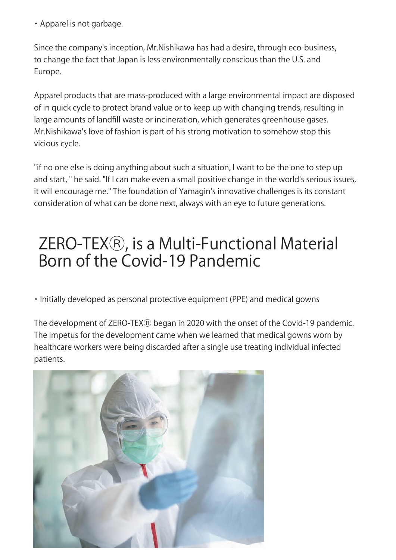・Apparel is not garbage.

Since the company's inception, Mr.Nishikawa has had a desire, through eco-business, to change the fact that Japan is less environmentally conscious than the U.S. and Europe.

Apparel products that are mass-produced with a large environmental impact are disposed of in quick cycle to protect brand value or to keep up with changing trends, resulting in large amounts of landfill waste or incineration, which generates greenhouse gases. Mr.Nishikawa's love of fashion is part of his strong motivation to somehow stop this vicious cycle.

"if no one else is doing anything about such a situation, I want to be the one to step up and start, " he said. "If I can make even a small positive change in the world's serious issues, it will encourage me." The foundation of Yamagin's innovative challenges is its constant consideration of what can be done next, always with an eye to future generations.

## ZERO-TEXⓇ, is a Multi-Functional Material Born of the Covid-19 Pandemic

・Initially developed as personal protective equipment (PPE) and medical gowns

The development of ZERO-TEX® began in 2020 with the onset of the Covid-19 pandemic. The impetus for the development came when we learned that medical gowns worn by healthcare workers were being discarded after a single use treating individual infected patients.

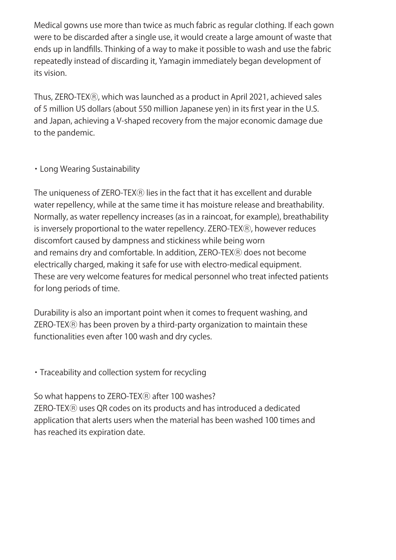Medical gowns use more than twice as much fabric as regular clothing. If each gown were to be discarded after a single use, it would create a large amount of waste that ends up in landfills. Thinking of a way to make it possible to wash and use the fabric repeatedly instead of discarding it, Yamagin immediately began development of its vision.

Thus, ZERO-TEXⓇ, which was launched as a product in April 2021, achieved sales of 5 million US dollars (about 550 million Japanese yen) in its first year in the U.S. and Japan, achieving a V-shaped recovery from the major economic damage due to the pandemic.

#### ・Long Wearing Sustainability

The uniqueness of ZERO-TEX® lies in the fact that it has excellent and durable water repellency, while at the same time it has moisture release and breathability. Normally, as water repellency increases (as in a raincoat, for example), breathability is inversely proportional to the water repellency. ZERO-TEX®, however reduces discomfort caused by dampness and stickiness while being worn and remains dry and comfortable. In addition, ZERO-TEX® does not become electrically charged, making it safe for use with electro-medical equipment. These are very welcome features for medical personnel who treat infected patients for long periods of time.

Durability is also an important point when it comes to frequent washing, and ZERO-TEXⓇ has been proven by a third-party organization to maintain these functionalities even after 100 wash and dry cycles.

・Traceability and collection system for recycling

So what happens to ZERO-TEX® after 100 washes? ZERO-TEXⓇ uses QR codes on its products and has introduced a dedicated application that alerts users when the material has been washed 100 times and has reached its expiration date.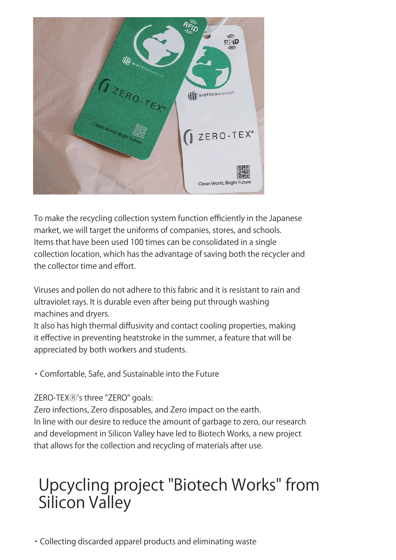

To make the recycling collection system function efficiently in the Japanese market, we will target the uniforms of companies, stores, and schools. Items that have been used 100 times can be consolidated in a single collection location, which has the advantage of saving both the recycler and the collector time and effort.

Viruses and pollen do not adhere to this fabric and it is resistant to rain and ultraviolet rays. It is durable even after being put through washing machines and dryers.

It also has high thermal diffusivity and contact cooling properties, making it effective in preventing heatstroke in the summer, a feature that will be appreciated by both workers and students.

・Comfortable, Safe, and Sustainable into the Future

#### ZERO-TEXⓇ's three "ZERO" goals:

Zero infections, Zero disposables, and Zero impact on the earth. In line with our desire to reduce the amount of garbage to zero, our research and development in Silicon Valley have led to Biotech Works, a new project that allows for the collection and recycling of materials after use.

# Upcycling project "Biotech Works" from Silicon Valley

・Collecting discarded apparel products and eliminating waste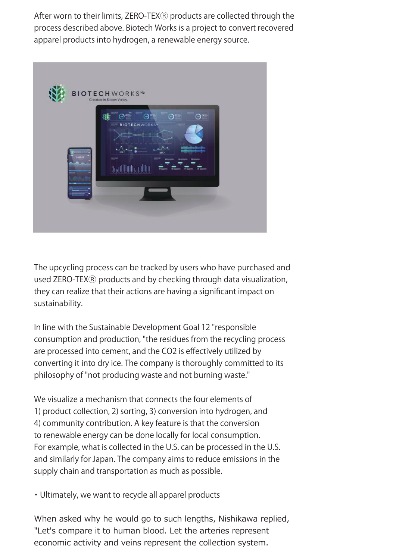After worn to their limits, ZERO-TEX® products are collected through the process described above. Biotech Works is a project to convert recovered apparel products into hydrogen, a renewable energy source.



The upcycling process can be tracked by users who have purchased and used ZERO-TEX® products and by checking through data visualization, they can realize that their actions are having a significant impact on sustainability.

In line with the Sustainable Development Goal 12 "responsible consumption and production, "the residues from the recycling process are processed into cement, and the CO2 is effectively utilized by converting it into dry ice. The company is thoroughly committed to its philosophy of "not producing waste and not burning waste."

We visualize a mechanism that connects the four elements of 1) product collection, 2) sorting, 3) conversion into hydrogen, and 4) community contribution. A key feature is that the conversion to renewable energy can be done locally for local consumption. For example, what is collected in the U.S. can be processed in the U.S. and similarly for Japan. The company aims to reduce emissions in the supply chain and transportation as much as possible.

・Ultimately, we want to recycle all apparel products

When asked why he would go to such lengths, Nishikawa replied, "Let's compare it to human blood. Let the arteries represent economic activity and veins represent the collection system.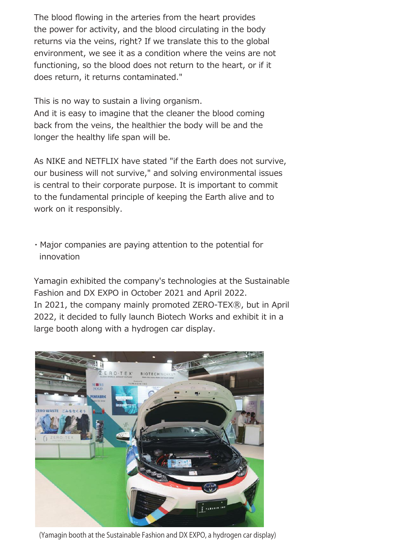The blood flowing in the arteries from the heart provides the power for activity, and the blood circulating in the body returns via the veins, right? If we translate this to the global environment, we see it as a condition where the veins are not functioning, so the blood does not return to the heart, or if it does return, it returns contaminated."

This is no way to sustain a living organism. And it is easy to imagine that the cleaner the blood coming back from the veins, the healthier the body will be and the longer the healthy life span will be.

As NIKE and NETFLIX have stated "if the Earth does not survive, our business will not survive," and solving environmental issues is central to their corporate purpose. It is important to commit to the fundamental principle of keeping the Earth alive and to work on it responsibly.

・Major companies are paying attention to the potential for innovation

Yamagin exhibited the company's technologies at the Sustainable Fashion and DX EXPO in October 2021 and April 2022. In 2021, the company mainly promoted ZERO-TEX®, but in April 2022, it decided to fully launch Biotech Works and exhibit it in a large booth along with a hydrogen car display.



(Yamagin booth at the Sustainable Fashion and DX EXPO, a hydrogen car display)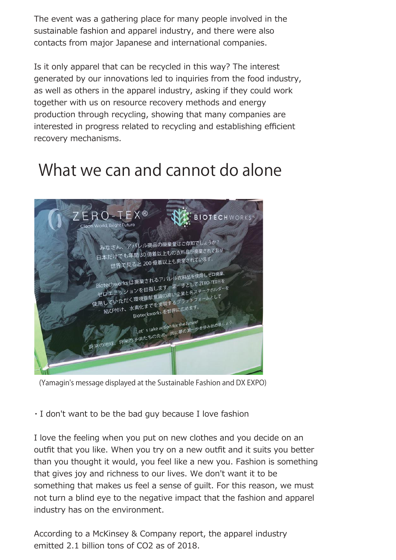The event was a gathering place for many people involved in the sustainable fashion and apparel industry, and there were also contacts from major Japanese and international companies.

Is it only apparel that can be recycled in this way? The interest generated by our innovations led to inquiries from the food industry, as well as others in the apparel industry, asking if they could work together with us on resource recovery methods and energy production through recycling, showing that many companies are interested in progress related to recycling and establishing efficient recovery mechanisms.

## What we can and cannot do alone



(Yamagin's message displayed at the Sustainable Fashion and DX EXPO)

・I don't want to be the bad guy because I love fashion

I love the feeling when you put on new clothes and you decide on an outfit that you like. When you try on a new outfit and it suits you better than you thought it would, you feel like a new you. Fashion is something that gives joy and richness to our lives. We don't want it to be something that makes us feel a sense of guilt. For this reason, we must not turn a blind eye to the negative impact that the fashion and apparel industry has on the environment.

According to a McKinsey & Company report, the apparel industry emitted 2.1 billion tons of CO2 as of 2018.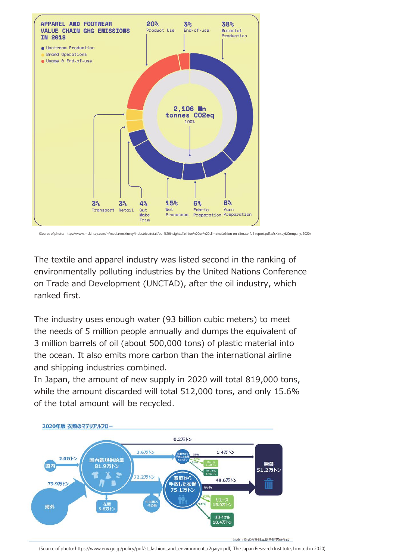

(Source of photo: https://www.mckinsey.com/~/media/mckinsey/industries/retail/our%20insights/fashion%20on%20climate/fashion-on-climate-full-report.pdf, McKinsey&Company, 2020)

The textile and apparel industry was listed second in the ranking of environmentally polluting industries by the United Nations Conference on Trade and Development (UNCTAD), after the oil industry, which ranked first.

The industry uses enough water (93 billion cubic meters) to meet the needs of 5 million people annually and dumps the equivalent of 3 million barrels of oil (about 500,000 tons) of plastic material into the ocean. It also emits more carbon than the international airline and shipping industries combined.

In Japan, the amount of new supply in 2020 will total 819,000 tons, while the amount discarded will total 512,000 tons, and only 15.6% of the total amount will be recycled.



#### 出所:株式会社日本総合研究所作成

(Source of photo: https://www.env.go.jp/policy/pdf/st\_fashion\_and\_environment\_r2gaiyo.pdf, The Japan Research Institute, Limited in 2020)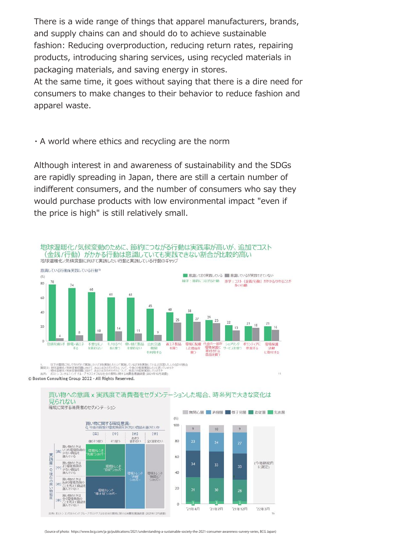There is a wide range of things that apparel manufacturers, brands, and supply chains can and should do to achieve sustainable fashion: Reducing overproduction, reducing return rates, repairing products, introducing sharing services, using recycled materials in packaging materials, and saving energy in stores.

At the same time, it goes without saying that there is a dire need for consumers to make changes to their behavior to reduce fashion and apparel waste.

#### ・A world where ethics and recycling are the norm

Although interest in and awareness of sustainability and the SDGs are rapidly spreading in Japan, there are still a certain number of indifferent consumers, and the number of consumers who say they would purchase products with low environmental impact "even if the price is high" is still relatively small.



1. 以下の質問に対してそれぞれ「実施したい」「まあ実施したい」「実施している」「まあ実施している」と回答した人の合計の割合<br>質問文:地球温暖化ノ気味変動問題に向けて、あなたは次のそれぞれについて、今後の復度実践していきまっしょすか<br>出所: ホストンコンサルティング グループ サステナブルな社会の実現に関する消費者意識調査 (2021年12月調査)<br>出所: ホストンコンサルティング グループ サステナブルな社会の実現に関する消費者意識調

© Boston Consulting Group 2022 - All Rights Reserved.

t sie 実践度

tm

: Q 現在の買い物態度



 $11$ 

買い物への意識 x 実践度で消費者をセグメンテーションした場合、時系列で大きな変化は 見られない

(Source of photo: https://www.bcg.com/ja-jp/publications/2021/understanding-a-sustainable-society-the-2021-consumer-awareness-survery-series, BCG Japan)